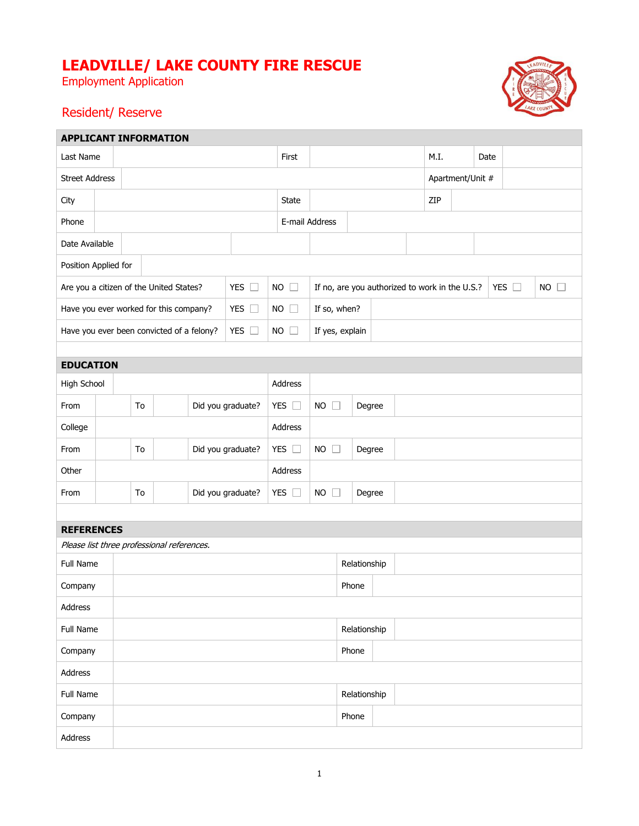## **LEADVILLE/ LAKE COUNTY FIRE RESCUE**

Employment Application



## Resident/ Reserve

r.

| <b>APPLICANT INFORMATION</b>                               |                         |  |       |               |                            |                           |           |                |                                                                 |      |                  |  |  |                     |  |  |  |
|------------------------------------------------------------|-------------------------|--|-------|---------------|----------------------------|---------------------------|-----------|----------------|-----------------------------------------------------------------|------|------------------|--|--|---------------------|--|--|--|
| Last Name                                                  |                         |  | First |               |                            |                           |           | M.I.           |                                                                 | Date |                  |  |  |                     |  |  |  |
| <b>Street Address</b>                                      |                         |  |       |               |                            |                           |           |                |                                                                 |      | Apartment/Unit # |  |  |                     |  |  |  |
| City                                                       |                         |  |       |               | State                      |                           |           |                |                                                                 | ZIP  |                  |  |  |                     |  |  |  |
| Phone                                                      |                         |  |       |               |                            |                           |           | E-mail Address |                                                                 |      |                  |  |  |                     |  |  |  |
| Date Available                                             |                         |  |       |               |                            |                           |           |                |                                                                 |      |                  |  |  |                     |  |  |  |
| Position Applied for                                       |                         |  |       |               |                            |                           |           |                |                                                                 |      |                  |  |  |                     |  |  |  |
| Are you a citizen of the United States?                    |                         |  |       |               |                            | YES O                     | <b>NO</b> | $\Box$         | YES $\square$<br>If no, are you authorized to work in the U.S.? |      |                  |  |  | <b>NO</b><br>$\Box$ |  |  |  |
| Have you ever worked for this company?                     |                         |  |       |               |                            | YES $\square$             |           | $NO$ $\Box$    | If so, when?                                                    |      |                  |  |  |                     |  |  |  |
| YES $\square$<br>Have you ever been convicted of a felony? |                         |  |       |               | $NO$ $\Box$                | If yes, explain           |           |                |                                                                 |      |                  |  |  |                     |  |  |  |
|                                                            |                         |  |       |               |                            |                           |           |                |                                                                 |      |                  |  |  |                     |  |  |  |
| <b>EDUCATION</b>                                           |                         |  |       |               |                            |                           |           |                |                                                                 |      |                  |  |  |                     |  |  |  |
| High School                                                |                         |  |       |               | Address                    |                           |           |                |                                                                 |      |                  |  |  |                     |  |  |  |
| From                                                       | Did you graduate?<br>To |  |       | YES $\square$ |                            | $NO$ $\Box$               | Degree    |                |                                                                 |      |                  |  |  |                     |  |  |  |
| College                                                    |                         |  |       |               | Address                    |                           |           |                |                                                                 |      |                  |  |  |                     |  |  |  |
| From                                                       | Did you graduate?<br>To |  |       | YES $\square$ |                            | <b>NO</b><br>$\mathbf{L}$ | Degree    |                |                                                                 |      |                  |  |  |                     |  |  |  |
| Other                                                      |                         |  |       |               |                            | Address                   |           |                |                                                                 |      |                  |  |  |                     |  |  |  |
| From                                                       | Did you graduate?<br>To |  |       |               | YES $\square$<br><b>NO</b> |                           | Degree    |                |                                                                 |      |                  |  |  |                     |  |  |  |
|                                                            |                         |  |       |               |                            |                           |           |                |                                                                 |      |                  |  |  |                     |  |  |  |
| <b>REFERENCES</b>                                          |                         |  |       |               |                            |                           |           |                |                                                                 |      |                  |  |  |                     |  |  |  |
| Please list three professional references.                 |                         |  |       |               |                            |                           |           |                |                                                                 |      |                  |  |  |                     |  |  |  |
| Full Name                                                  |                         |  |       |               |                            | Relationship              |           |                |                                                                 |      |                  |  |  |                     |  |  |  |
| Company                                                    |                         |  |       | Phone         |                            |                           |           |                |                                                                 |      |                  |  |  |                     |  |  |  |
| Address                                                    |                         |  |       |               |                            |                           |           |                |                                                                 |      |                  |  |  |                     |  |  |  |
| Full Name                                                  |                         |  |       | Relationship  |                            |                           |           |                |                                                                 |      |                  |  |  |                     |  |  |  |
| Company                                                    |                         |  |       |               |                            | Phone                     |           |                |                                                                 |      |                  |  |  |                     |  |  |  |
| Address                                                    |                         |  |       |               |                            |                           |           |                |                                                                 |      |                  |  |  |                     |  |  |  |
| Full Name                                                  |                         |  |       |               |                            |                           |           |                | Relationship                                                    |      |                  |  |  |                     |  |  |  |
| Company                                                    |                         |  |       |               |                            |                           |           |                | Phone                                                           |      |                  |  |  |                     |  |  |  |
| Address                                                    |                         |  |       |               |                            |                           |           |                |                                                                 |      |                  |  |  |                     |  |  |  |